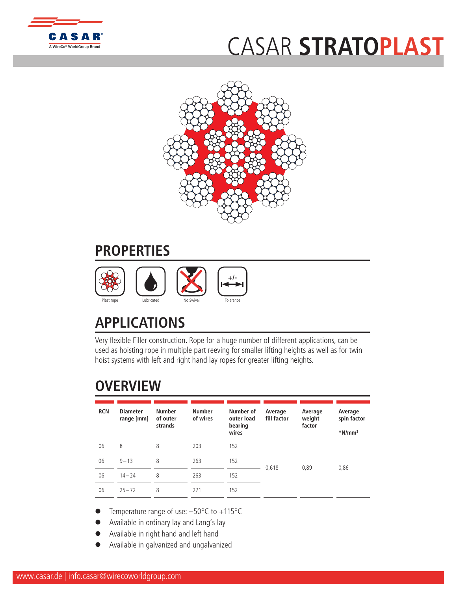

## CASAR **[STRAT](http://www.WireCoWorldGroup.com)OPLAST**



## **PROPERTIES**



## **APPLICATIONS**

Very flexible Filler construction. Rope for a huge number of different applications, can be used as hoisting rope in multiple part reeving for smaller lifting heights as well as for twin hoist systems with left and right hand lay ropes for greater lifting heights.

## **OVERVIEW**

| <b>RCN</b> | <b>Diameter</b><br>range [mm] | <b>Number</b><br>of outer<br>strands | <b>Number</b><br>of wires | Number of<br>outer load<br>bearing<br>wires | Average<br>fill factor | Average<br>weight<br>factor | Average<br>spin factor<br>$*$ N/mm <sup>2</sup> |
|------------|-------------------------------|--------------------------------------|---------------------------|---------------------------------------------|------------------------|-----------------------------|-------------------------------------------------|
| 06         | 8                             | 8                                    | 203                       | 152                                         |                        |                             |                                                 |
| 06         | $9 - 13$                      | 8                                    | 263                       | 152                                         | 0,618                  | 0,89                        | 0,86                                            |
| 06         | $14 - 24$                     | 8                                    | 263                       | 152                                         |                        |                             |                                                 |
| 06         | $25 - 72$                     | 8                                    | 271                       | 152                                         |                        |                             |                                                 |

- Temperature range of use:  $-50^{\circ}$ C to  $+115^{\circ}$ C
- l Available in ordinary lay and Lang's lay
- Available in right hand and left hand
- l Available in galvanized and ungalvanized